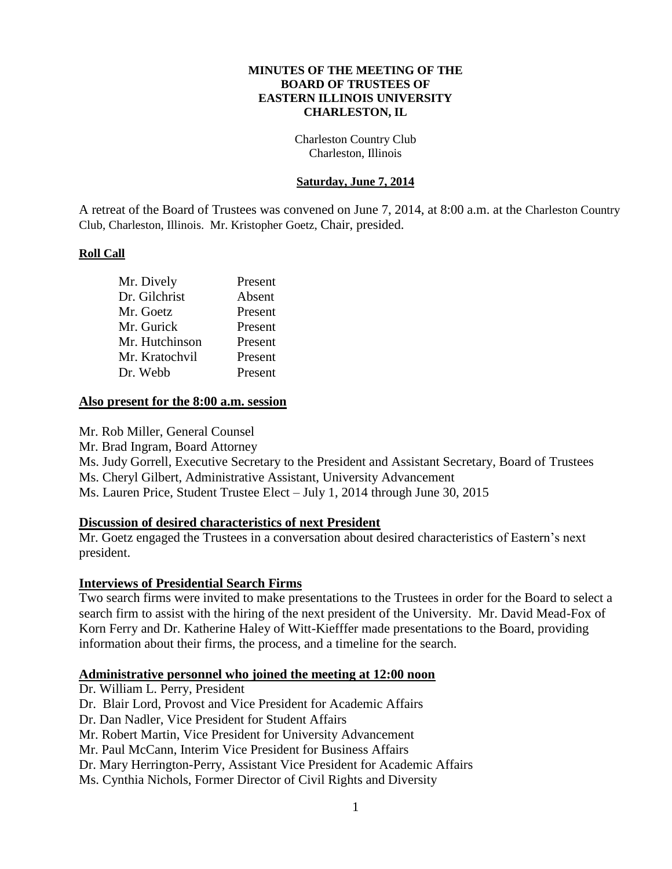#### **MINUTES OF THE MEETING OF THE BOARD OF TRUSTEES OF EASTERN ILLINOIS UNIVERSITY CHARLESTON, IL**

Charleston Country Club Charleston, Illinois

### **Saturday, June 7, 2014**

A retreat of the Board of Trustees was convened on June 7, 2014, at 8:00 a.m. at the Charleston Country Club, Charleston, Illinois. Mr. Kristopher Goetz, Chair, presided.

### **Roll Call**

| Mr. Dively     | Present |
|----------------|---------|
| Dr. Gilchrist  | Absent  |
| Mr. Goetz      | Present |
| Mr. Gurick     | Present |
| Mr. Hutchinson | Present |
| Mr. Kratochvil | Present |
| Dr. Webb       | Present |

### **Also present for the 8:00 a.m. session**

Mr. Rob Miller, General Counsel Mr. Brad Ingram, Board Attorney Ms. Judy Gorrell, Executive Secretary to the President and Assistant Secretary, Board of Trustees Ms. Cheryl Gilbert, Administrative Assistant, University Advancement Ms. Lauren Price, Student Trustee Elect – July 1, 2014 through June 30, 2015

# **Discussion of desired characteristics of next President**

Mr. Goetz engaged the Trustees in a conversation about desired characteristics of Eastern's next president.

# **Interviews of Presidential Search Firms**

Two search firms were invited to make presentations to the Trustees in order for the Board to select a search firm to assist with the hiring of the next president of the University. Mr. David Mead-Fox of Korn Ferry and Dr. Katherine Haley of Witt-Kiefffer made presentations to the Board, providing information about their firms, the process, and a timeline for the search.

#### **Administrative personnel who joined the meeting at 12:00 noon**

Dr. William L. Perry, President Dr. Blair Lord, Provost and Vice President for Academic Affairs Dr. Dan Nadler, Vice President for Student Affairs Mr. Robert Martin, Vice President for University Advancement Mr. Paul McCann, Interim Vice President for Business Affairs Dr. Mary Herrington-Perry, Assistant Vice President for Academic Affairs Ms. Cynthia Nichols, Former Director of Civil Rights and Diversity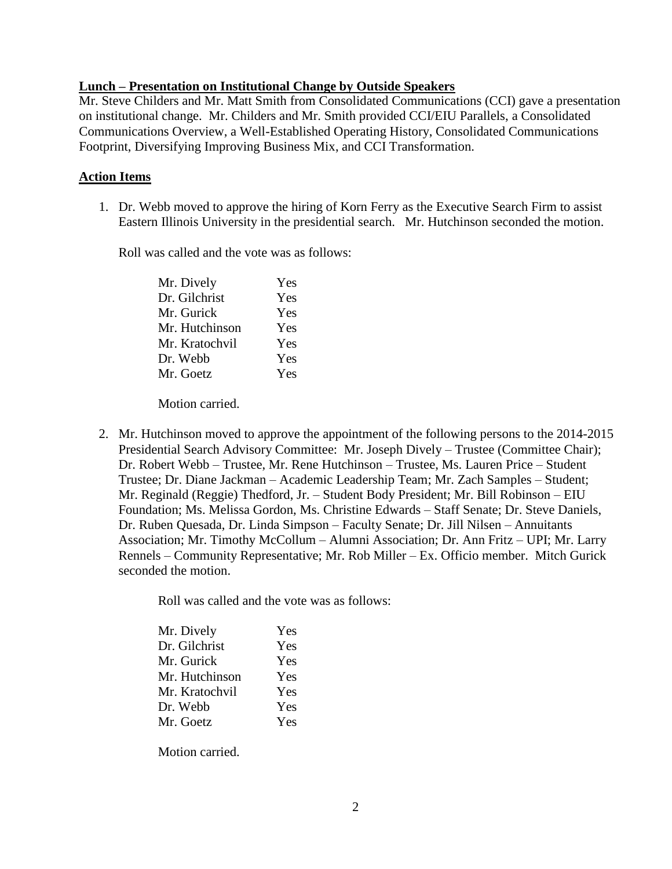#### **Lunch – Presentation on Institutional Change by Outside Speakers**

Mr. Steve Childers and Mr. Matt Smith from Consolidated Communications (CCI) gave a presentation on institutional change. Mr. Childers and Mr. Smith provided CCI/EIU Parallels, a Consolidated Communications Overview, a Well-Established Operating History, Consolidated Communications Footprint, Diversifying Improving Business Mix, and CCI Transformation.

### **Action Items**

1. Dr. Webb moved to approve the hiring of Korn Ferry as the Executive Search Firm to assist Eastern Illinois University in the presidential search. Mr. Hutchinson seconded the motion.

Roll was called and the vote was as follows:

| Yes |
|-----|
| Yes |
| Yes |
| Yes |
| Yes |
| Yes |
| Yes |
|     |

Motion carried.

2. Mr. Hutchinson moved to approve the appointment of the following persons to the 2014-2015 Presidential Search Advisory Committee: Mr. Joseph Dively – Trustee (Committee Chair); Dr. Robert Webb – Trustee, Mr. Rene Hutchinson – Trustee, Ms. Lauren Price – Student Trustee; Dr. Diane Jackman – Academic Leadership Team; Mr. Zach Samples – Student; Mr. Reginald (Reggie) Thedford, Jr. – Student Body President; Mr. Bill Robinson – EIU Foundation; Ms. Melissa Gordon, Ms. Christine Edwards – Staff Senate; Dr. Steve Daniels, Dr. Ruben Quesada, Dr. Linda Simpson – Faculty Senate; Dr. Jill Nilsen – Annuitants Association; Mr. Timothy McCollum – Alumni Association; Dr. Ann Fritz – UPI; Mr. Larry Rennels – Community Representative; Mr. Rob Miller – Ex. Officio member. Mitch Gurick seconded the motion.

Roll was called and the vote was as follows:

| Mr. Dively     | Yes |
|----------------|-----|
| Dr. Gilchrist  | Yes |
| Mr. Gurick     | Yes |
| Mr. Hutchinson | Yes |
| Mr. Kratochvil | Yes |
| Dr. Webb       | Yes |
| Mr. Goetz      | Yes |
|                |     |

Motion carried.